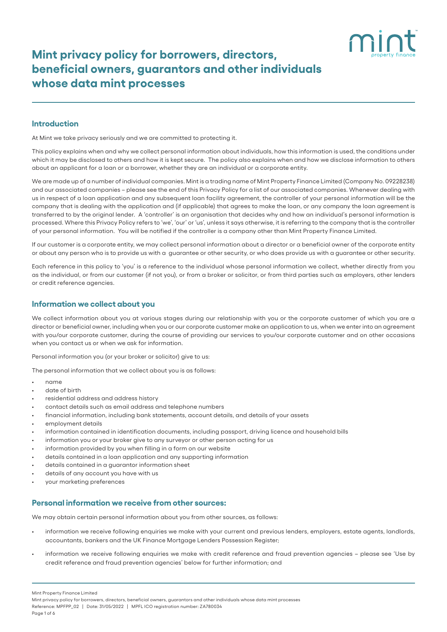# **Mint privacy policy for borrowers, directors, beneficial owners, guarantors and other individuals whose data mint processes**

## **Introduction**

At Mint we take privacy seriously and we are committed to protecting it.

This policy explains when and why we collect personal information about individuals, how this information is used, the conditions under which it may be disclosed to others and how it is kept secure. The policy also explains when and how we disclose information to others about an applicant for a loan or a borrower, whether they are an individual or a corporate entity.

We are made up of a number of individual companies. Mint is a trading name of Mint Property Finance Limited (Company No. 09228238) and our associated companies – please see the end of this Privacy Policy for a list of our associated companies. Whenever dealing with us in respect of a loan application and any subsequent loan facility agreement, the controller of your personal information will be the company that is dealing with the application and (if applicable) that agrees to make the loan, or any company the loan agreement is transferred to by the original lender. A 'controller' is an organisation that decides why and how an individual's personal information is processed. Where this Privacy Policy refers to 'we', 'our' or 'us', unless it says otherwise, it is referring to the company that is the controller of your personal information. You will be notified if the controller is a company other than Mint Property Finance Limited.

If our customer is a corporate entity, we may collect personal information about a director or a beneficial owner of the corporate entity or about any person who is to provide us with a guarantee or other security, or who does provide us with a guarantee or other security.

Each reference in this policy to 'you' is a reference to the individual whose personal information we collect, whether directly from you as the individual, or from our customer (if not you), or from a broker or solicitor, or from third parties such as employers, other lenders or credit reference agencies.

### **Information we collect about you**

We collect information about you at various stages during our relationship with you or the corporate customer of which you are a director or beneficial owner, including when you or our corporate customer make an application to us, when we enter into an agreement with you/our corporate customer, during the course of providing our services to you/our corporate customer and on other occasions when you contact us or when we ask for information.

Personal information you (or your broker or solicitor) give to us:

The personal information that we collect about you is as follows:

- name
- date of birth
- residential address and address history
- contact details such as email address and telephone numbers
- financial information, including bank statements, account details, and details of your assets
- employment details
- information contained in identification documents, including passport, driving licence and household bills
- information you or your broker give to any surveyor or other person acting for us
- information provided by you when filling in a form on our website
- details contained in a loan application and any supporting information
- details contained in a guarantor information sheet
- details of any account you have with us
- your marketing preferences

#### **Personal information we receive from other sources:**

We may obtain certain personal information about you from other sources, as follows:

- information we receive following enquiries we make with your current and previous lenders, employers, estate agents, landlords, accountants, bankers and the UK Finance Mortgage Lenders Possession Register;
- information we receive following enquiries we make with credit reference and fraud prevention agencies please see 'Use by credit reference and fraud prevention agencies' below for further information; and

Mint Property Finance Limited

Mint privacy policy for borrowers, directors, beneficial owners, guarantors and other individuals whose data mint processes Reference: MPFPP\_02 | Date: 31/05/2022 | MPFL ICO registration number: ZA780034 Page 1 of 6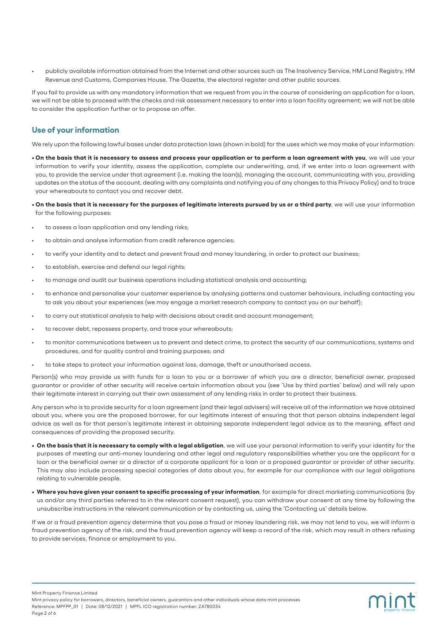• publicly available information obtained from the Internet and other sources such as The Insolvency Service, HM Land Registry, HM Revenue and Customs, Companies House, The Gazette, the electoral register and other public sources.

If you fail to provide us with any mandatory information that we request from you in the course of considering an application for a loan, we will not be able to proceed with the checks and risk assessment necessary to enter into a loan facility agreement; we will not be able to consider the application further or to propose an offer.

# **Use of your information**

We rely upon the following lawful bases under data protection laws (shown in bold) for the uses which we may make of your information:

- **On the basis that it is necessary to assess and process your application or to perform a loan agreement with you**, we will use your information to verify your identity, assess the application, complete our underwriting, and, if we enter into a loan agreement with you, to provide the service under that agreement (i.e. making the loan(s), managing the account, communicating with you, providing updates on the status of the account, dealing with any complaints and notifying you of any changes to this Privacy Policy) and to trace your whereabouts to contact you and recover debt.
- **On the basis that it is necessary for the purposes of legitimate interests pursued by us or a third party**, we will use your information for the following purposes:
- to assess a loan application and any lending risks;
- to obtain and analyse information from credit reference agencies;
- to verify your identity and to detect and prevent fraud and money laundering, in order to protect our business;
- to establish, exercise and defend our legal rights;
- to manage and audit our business operations including statistical analysis and accounting;
- to enhance and personalise your customer experience by analysing patterns and customer behaviours, including contacting you to ask you about your experiences (we may engage a market research company to contact you on our behalf);
- to carry out statistical analysis to help with decisions about credit and account management;
- to recover debt, repossess property, and trace your whereabouts;
- to monitor communications between us to prevent and detect crime, to protect the security of our communications, systems and procedures, and for quality control and training purposes; and
- to take steps to protect your information against loss, damage, theft or unauthorised access.

Person(s) who may provide us with funds for a loan to you or a borrower of which you are a director, beneficial owner, proposed guarantor or provider of other security will receive certain information about you (see 'Use by third parties' below) and will rely upon their legitimate interest in carrying out their own assessment of any lending risks in order to protect their business.

Any person who is to provide security for a loan agreement (and their legal advisers) will receive all of the information we have obtained about you, where you are the proposed borrower, for our legitimate interest of ensuring that that person obtains independent legal advice as well as for that person's legitimate interest in obtaining separate independent legal advice as to the meaning, effect and consequences of providing the proposed security.

- **On the basis that it is necessary to comply with a legal obligation**, we will use your personal information to verify your identity for the purposes of meeting our anti-money laundering and other legal and regulatory responsibilities whether you are the applicant for a loan or the beneficial owner or a director of a corporate applicant for a loan or a proposed guarantor or provider of other security. This may also include processing special categories of data about you, for example for our compliance with our legal obligations relating to vulnerable people.
- **Where you have given your consent to specific processing of your information**, for example for direct marketing communications (by us and/or any third parties referred to in the relevant consent request), you can withdraw your consent at any time by following the unsubscribe instructions in the relevant communication or by contacting us, using the 'Contacting us' details below.

If we or a fraud prevention agency determine that you pose a fraud or money laundering risk, we may not lend to you, we will inform a fraud prevention agency of the risk, and the fraud prevention agency will keep a record of the risk, which may result in others refusing to provide services, finance or employment to you.

mint

Mint Property Finance Limited

Mint privacy policy for borrowers, directors, beneficial owners, guarantors and other individuals whose data mint processes Reference: MPFPP\_01 | Date: 08/12/2021 | MPFL ICO registration number: ZA780034 Page 2 of 6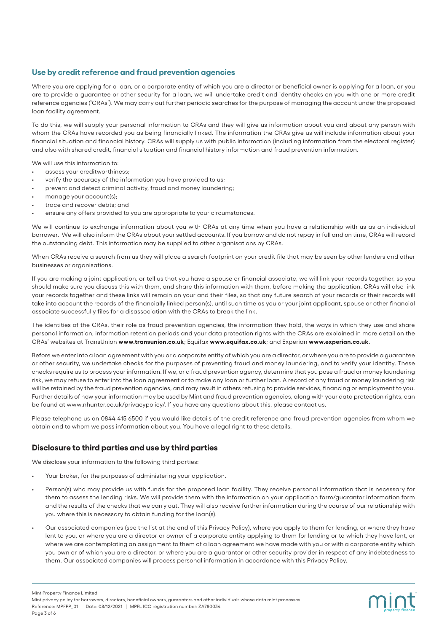# **Use by credit reference and fraud prevention agencies**

Where you are applying for a loan, or a corporate entity of which you are a director or beneficial owner is applying for a loan, or you are to provide a guarantee or other security for a loan, we will undertake credit and identity checks on you with one or more credit reference agencies ('CRAs'). We may carry out further periodic searches for the purpose of managing the account under the proposed loan facility agreement.

To do this, we will supply your personal information to CRAs and they will give us information about you and about any person with whom the CRAs have recorded you as being financially linked. The information the CRAs give us will include information about your financial situation and financial history. CRAs will supply us with public information (including information from the electoral register) and also with shared credit, financial situation and financial history information and fraud prevention information.

We will use this information to:

- assess your creditworthiness;
- verify the accuracy of the information you have provided to us;
- prevent and detect criminal activity, fraud and money laundering;
- manage your account(s);
- trace and recover debts; and
- ensure any offers provided to you are appropriate to your circumstances.

We will continue to exchange information about you with CRAs at any time when you have a relationship with us as an individual borrower. We will also inform the CRAs about your settled accounts. If you borrow and do not repay in full and on time, CRAs will record the outstanding debt. This information may be supplied to other organisations by CRAs.

When CRAs receive a search from us they will place a search footprint on your credit file that may be seen by other lenders and other businesses or organisations.

If you are making a joint application, or tell us that you have a spouse or financial associate, we will link your records together, so you should make sure you discuss this with them, and share this information with them, before making the application. CRAs will also link your records together and these links will remain on your and their files, so that any future search of your records or their records will take into account the records of the financially linked person(s), until such time as you or your joint applicant, spouse or other financial associate successfully files for a disassociation with the CRAs to break the link.

The identities of the CRAs, their role as fraud prevention agencies, the information they hold, the ways in which they use and share personal information, information retention periods and your data protection rights with the CRAs are explained in more detail on the CRAs' websites at TransUnion **www.transunion.co.uk**; Equifax **www.equifax.co.uk**; and Experian **www.experian.co.uk**.

Before we enter into a loan agreement with you or a corporate entity of which you are a director, or where you are to provide a guarantee or other security, we undertake checks for the purposes of preventing fraud and money laundering, and to verify your identity. These checks require us to process your information. If we, or a fraud prevention agency, determine that you pose a fraud or money laundering risk, we may refuse to enter into the loan agreement or to make any loan or further loan. A record of any fraud or money laundering risk will be retained by the fraud prevention agencies, and may result in others refusing to provide services, financing or employment to you. Further details of how your information may be used by Mint and fraud prevention agencies, along with your data protection rights, can be found at www.nhunter.co.uk/privacypolicy/. If you have any questions about this, please contact us.

Please telephone us on 0844 415 6500 if you would like details of the credit reference and fraud prevention agencies from whom we obtain and to whom we pass information about you. You have a legal right to these details.

# **Disclosure to third parties and use by third parties**

We disclose your information to the following third parties:

- Your broker, for the purposes of administering your application.
- Person(s) who may provide us with funds for the proposed loan facility. They receive personal information that is necessary for them to assess the lending risks. We will provide them with the information on your application form/guarantor information form and the results of the checks that we carry out. They will also receive further information during the course of our relationship with you where this is necessary to obtain funding for the loan(s).
- Our associated companies (see the list at the end of this Privacy Policy), where you apply to them for lending, or where they have lent to you, or where you are a director or owner of a corporate entity applying to them for lending or to which they have lent, or where we are contemplating an assignment to them of a loan agreement we have made with you or with a corporate entity which you own or of which you are a director, or where you are a guarantor or other security provider in respect of any indebtedness to them. Our associated companies will process personal information in accordance with this Privacy Policy.

mint

Mint Property Finance Limited

Mint privacy policy for borrowers, directors, beneficial owners, guarantors and other individuals whose data mint processes Reference: MPFPP\_01 | Date: 08/12/2021 | MPFL ICO registration number: ZA780034 Page 3 of 6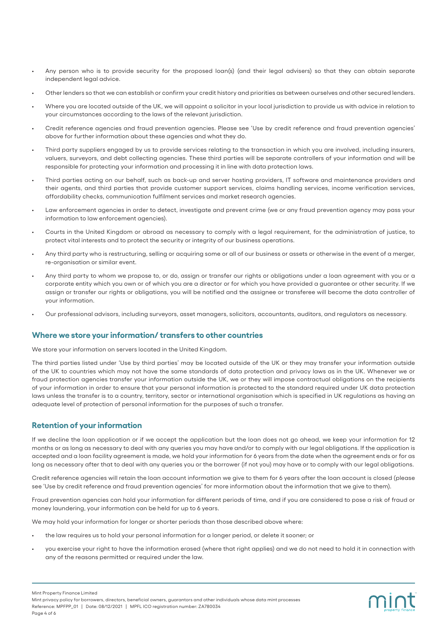- Any person who is to provide security for the proposed loan(s) (and their legal advisers) so that they can obtain separate independent legal advice.
- Other lenders so that we can establish or confirm your credit history and priorities as between ourselves and other secured lenders.
- Where you are located outside of the UK, we will appoint a solicitor in your local jurisdiction to provide us with advice in relation to your circumstances according to the laws of the relevant jurisdiction.
- Credit reference agencies and fraud prevention agencies. Please see 'Use by credit reference and fraud prevention agencies' above for further information about these agencies and what they do.
- Third party suppliers engaged by us to provide services relating to the transaction in which you are involved, including insurers, valuers, surveyors, and debt collecting agencies. These third parties will be separate controllers of your information and will be responsible for protecting your information and processing it in line with data protection laws.
- Third parties acting on our behalf, such as back-up and server hosting providers, IT software and maintenance providers and their agents, and third parties that provide customer support services, claims handling services, income verification services, affordability checks, communication fulfilment services and market research agencies.
- Law enforcement agencies in order to detect, investigate and prevent crime (we or any fraud prevention agency may pass your information to law enforcement agencies).
- Courts in the United Kingdom or abroad as necessary to comply with a legal requirement, for the administration of justice, to protect vital interests and to protect the security or integrity of our business operations.
- Any third party who is restructuring, selling or acquiring some or all of our business or assets or otherwise in the event of a merger, re-organisation or similar event.
- Any third party to whom we propose to, or do, assign or transfer our rights or obligations under a loan agreement with you or a corporate entity which you own or of which you are a director or for which you have provided a guarantee or other security. If we assign or transfer our rights or obligations, you will be notified and the assignee or transferee will become the data controller of your information.
- Our professional advisors, including surveyors, asset managers, solicitors, accountants, auditors, and regulators as necessary.

#### **Where we store your information/ transfers to other countries**

We store your information on servers located in the United Kingdom.

The third parties listed under 'Use by third parties' may be located outside of the UK or they may transfer your information outside of the UK to countries which may not have the same standards of data protection and privacy laws as in the UK. Whenever we or fraud protection agencies transfer your information outside the UK, we or they will impose contractual obligations on the recipients of your information in order to ensure that your personal information is protected to the standard required under UK data protection laws unless the transfer is to a country, territory, sector or international organisation which is specified in UK regulations as having an adequate level of protection of personal information for the purposes of such a transfer.

# **Retention of your information**

If we decline the loan application or if we accept the application but the loan does not go ahead, we keep your information for 12 months or as long as necessary to deal with any queries you may have and/or to comply with our legal obligations. If the application is accepted and a loan facility agreement is made, we hold your information for 6 years from the date when the agreement ends or for as long as necessary after that to deal with any queries you or the borrower (if not you) may have or to comply with our legal obligations.

Credit reference agencies will retain the loan account information we give to them for 6 years after the loan account is closed (please see 'Use by credit reference and fraud prevention agencies' for more information about the information that we give to them).

Fraud prevention agencies can hold your information for different periods of time, and if you are considered to pose a risk of fraud or money laundering, your information can be held for up to 6 years.

We may hold your information for longer or shorter periods than those described above where:

- the law requires us to hold your personal information for a longer period, or delete it sooner; or
- you exercise your right to have the information erased (where that right applies) and we do not need to hold it in connection with any of the reasons permitted or required under the law.

Mint Property Finance Limited

Mint privacy policy for borrowers, directors, beneficial owners, guarantors and other individuals whose data mint processes Reference: MPFPP\_01 | Date: 08/12/2021 | MPFL ICO registration number: ZA780034 Page 4 of 6

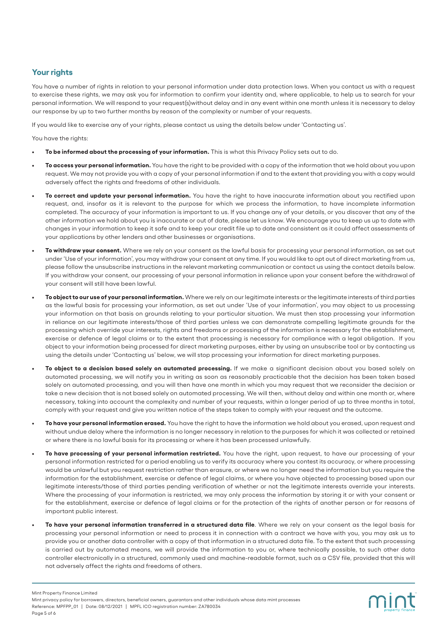# **Your rights**

You have a number of rights in relation to your personal information under data protection laws. When you contact us with a request to exercise these rights, we may ask you for information to confirm your identity and, where applicable, to help us to search for your personal information. We will respond to your request(s)without delay and in any event within one month unless it is necessary to delay our response by up to two further months by reason of the complexity or number of your requests.

If you would like to exercise any of your rights, please contact us using the details below under 'Contacting us'.

You have the rights:

- **• To be informed about the processing of your information.** This is what this Privacy Policy sets out to do.
- **• To access your personal information.** You have the right to be provided with a copy of the information that we hold about you upon request. We may not provide you with a copy of your personal information if and to the extent that providing you with a copy would adversely affect the rights and freedoms of other individuals.
- **• To correct and update your personal information.** You have the right to have inaccurate information about you rectified upon request, and, insofar as it is relevant to the purpose for which we process the information, to have incomplete information completed. The accuracy of your information is important to us. If you change any of your details, or you discover that any of the other information we hold about you is inaccurate or out of date, please let us know. We encourage you to keep us up to date with changes in your information to keep it safe and to keep your credit file up to date and consistent as it could affect assessments of your applications by other lenders and other businesses or organisations.
- **• To withdraw your consent.** Where we rely on your consent as the lawful basis for processing your personal information, as set out under 'Use of your information', you may withdraw your consent at any time. If you would like to opt out of direct marketing from us, please follow the unsubscribe instructions in the relevant marketing communication or contact us using the contact details below. If you withdraw your consent, our processing of your personal information in reliance upon your consent before the withdrawal of your consent will still have been lawful.
- **• To object to our use of your personal information.** Where we rely on our legitimate interests or the legitimate interests of third parties as the lawful basis for processing your information, as set out under 'Use of your information', you may object to us processing your information on that basis on grounds relating to your particular situation. We must then stop processing your information in reliance on our legitimate interests/those of third parties unless we can demonstrate compelling legitimate grounds for the processing which override your interests, rights and freedoms or processing of the information is necessary for the establishment, exercise or defence of legal claims or to the extent that processing is necessary for compliance with a legal obligation. If you object to your information being processed for direct marketing purposes, either by using an unsubscribe tool or by contacting us using the details under 'Contacting us' below, we will stop processing your information for direct marketing purposes.
- **• To object to a decision based solely on automated processing.** If we make a significant decision about you based solely on automated processing, we will notify you in writing as soon as reasonably practicable that the decision has been taken based solely on automated processing, and you will then have one month in which you may request that we reconsider the decision or take a new decision that is not based solely on automated processing. We will then, without delay and within one month or, where necessary, taking into account the complexity and number of your requests, within a longer period of up to three months in total, comply with your request and give you written notice of the steps taken to comply with your request and the outcome.
- **• To have your personal information erased.** You have the right to have the information we hold about you erased, upon request and without undue delay where the information is no longer necessary in relation to the purposes for which it was collected or retained or where there is no lawful basis for its processing or where it has been processed unlawfully.
- **• To have processing of your personal information restricted.** You have the right, upon request, to have our processing of your personal information restricted for a period enabling us to verify its accuracy where you contest its accuracy, or where processing would be unlawful but you request restriction rather than erasure, or where we no longer need the information but you require the information for the establishment, exercise or defence of legal claims, or where you have objected to processing based upon our legitimate interests/those of third parties pending verification of whether or not the legitimate interests override your interests. Where the processing of your information is restricted, we may only process the information by storing it or with your consent or for the establishment, exercise or defence of legal claims or for the protection of the rights of another person or for reasons of important public interest.
- **• To have your personal information transferred in a structured data file**. Where we rely on your consent as the legal basis for processing your personal information or need to process it in connection with a contract we have with you, you may ask us to provide you or another data controller with a copy of that information in a structured data file. To the extent that such processing is carried out by automated means, we will provide the information to you or, where technically possible, to such other data controller electronically in a structured, commonly used and machine-readable format, such as a CSV file, provided that this will not adversely affect the rights and freedoms of others.

mint

Mint Property Finance Limited

Mint privacy policy for borrowers, directors, beneficial owners, guarantors and other individuals whose data mint processes Reference: MPFPP\_01 | Date: 08/12/2021 | MPFL ICO registration number: ZA780034 Page 5 of 6